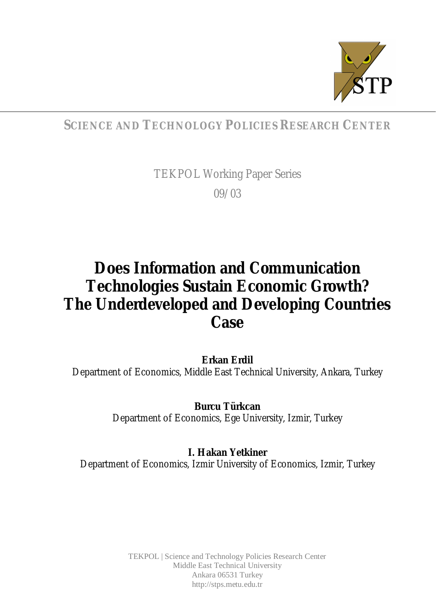

# **SCIENCE AND TECHNOLOGY POLICIES RESEARCH CENTER**

TEKPOL Working Paper Series 09/03

# **Does Information and Communication Technologies Sustain Economic Growth? The Underdeveloped and Developing Countries Case**

**Erkan Erdil** Department of Economics, Middle East Technical University, Ankara, Turkey

> **Burcu Türkcan** Department of Economics, Ege University, Izmir, Turkey

**I. Hakan Yetkiner** Department of Economics, Izmir University of Economics, Izmir, Turkey

> TEKPOL | Science and Technology Policies Research Center Middle East Technical University Ankara 06531 Turkey <http://stps.metu.edu.tr>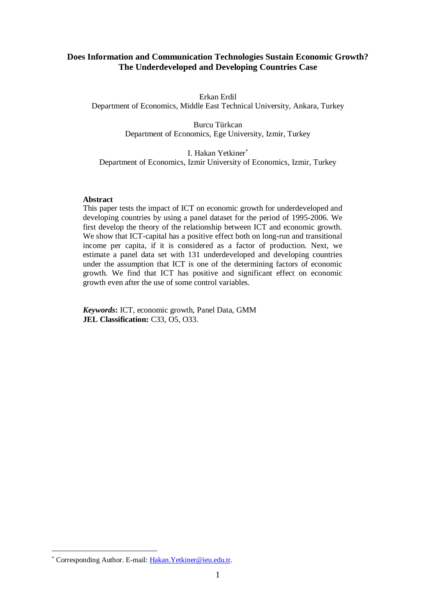# **Does Information and Communication Technologies Sustain Economic Growth? The Underdeveloped and Developing Countries Case**

Erkan Erdil Department of Economics, Middle East Technical University, Ankara, Turkey

> Burcu Türkcan Department of Economics, Ege University, Izmir, Turkey

I. Hakan Yetkiner Department of Economics, Izmir University of Economics, Izmir, Turkey

#### **Abstract**

This paper tests the impact of ICT on economic growth for underdeveloped and developing countries by using a panel dataset for the period of 1995-2006. We first develop the theory of the relationship between ICT and economic growth. We show that ICT-capital has a positive effect both on long-run and transitional income per capita, if it is considered as a factor of production. Next, we estimate a panel data set with 131 underdeveloped and developing countries under the assumption that ICT is one of the determining factors of economic growth. We find that ICT has positive and significant effect on economic growth even after the use of some control variables.

*Keywords***:** ICT, economic growth, Panel Data, GMM **JEL Classification:** C33, O5, O33.

<sup>\*</sup> Corresponding Author. E-mail: Hakan. Yetkiner@ieu.edu.tr.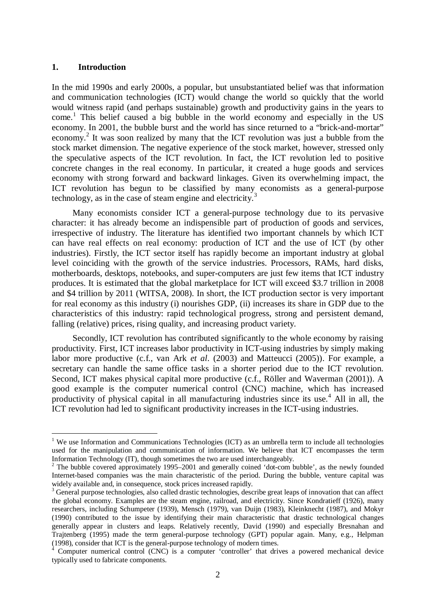#### **1. Introduction**

In the mid 1990s and early 2000s, a popular, but unsubstantiated belief was that information and communication technologies (ICT) would change the world so quickly that the world would witness rapid (and perhaps sustainable) growth and productivity gains in the years to come.<sup>1</sup> This belief caused a big bubble in the world economy and especially in the US economy. In 2001, the bubble burst and the world has since returned to a "brick-and-mortar" economy.<sup>2</sup> It was soon realized by many that the ICT revolution was just a bubble from the stock market dimension. The negative experience of the stock market, however, stressed only the speculative aspects of the ICT revolution. In fact, the ICT revolution led to positive concrete changes in the real economy. In particular, it created a huge goods and services economy with strong forward and backward linkages. Given its overwhelming impact, the ICT revolution has begun to be classified by many economists as a general-purpose technology, as in the case of steam engine and electricity. $3$ 

Many economists consider ICT a general-purpose technology due to its pervasive character: it has already become an indispensible part of production of goods and services, irrespective of industry. The literature has identified two important channels by which ICT can have real effects on real economy: production of ICT and the use of ICT (by other industries). Firstly, the ICT sector itself has rapidly become an important industry at global level coinciding with the growth of the service industries. Processors, RAMs, hard disks, motherboards, desktops, notebooks, and super-computers are just few items that ICT industry produces. It is estimated that the global marketplace for ICT will exceed \$3.7 trillion in 2008 and \$4 trillion by 2011 (WITSA, 2008). In short, the ICT production sector is very important for real economy as this industry (i) nourishes GDP, (ii) increases its share in GDP due to the characteristics of this industry: rapid technological progress, strong and persistent demand, falling (relative) prices, rising quality, and increasing product variety.

Secondly, ICT revolution has contributed significantly to the whole economy by raising productivity. First, ICT increases labor productivity in ICT-using industries by simply making labor more productive (c.f., van Ark *et al*. (2003) and Matteucci (2005)). For example, a secretary can handle the same office tasks in a shorter period due to the ICT revolution. Second, ICT makes physical capital more productive (c.f., Röller and Waverman (2001)). A good example is the computer numerical control (CNC) machine, which has increased productivity of physical capital in all manufacturing industries since its use.<sup>4</sup> All in all, the ICT revolution had led to significant productivity increases in the ICT-using industries.

<sup>&</sup>lt;sup>1</sup> We use Information and Communications Technologies (ICT) as an umbrella term to include all technologies used for the manipulation and communication of information. We believe that ICT encompasses the term Information Technology (IT), though sometimes the two are used interchangeably.

 $2$  The bubble covered approximately 1995–2001 and generally coined 'dot-com bubble', as the newly founded Internet-based companies was the main characteristic of the period. During the bubble, venture capital was widely available and, in consequence, stock prices increased rapidly.

<sup>&</sup>lt;sup>3</sup> General purpose technologies, also called drastic technologies, describe great leaps of innovation that can affect the global economy. Examples are the steam engine, railroad, and electricity. Since Kondratieff (1926), many researchers, including Schumpeter (1939), Mensch (1979), van Duijn (1983), Kleinknecht (1987), and Mokyr (1990) contributed to the issue by identifying their main characteristic that drastic technological changes generally appear in clusters and leaps. Relatively recently, David (1990) and especially Bresnahan and Trajtenberg (1995) made the term general-purpose technology (GPT) popular again. Many, e.g., Helpman (1998), consider that ICT is the general-purpose technology of modern times.

<sup>&</sup>lt;sup>4</sup> Computer numerical control (CNC) is a computer 'controller' that drives a powered mechanical device typically used to fabricate components.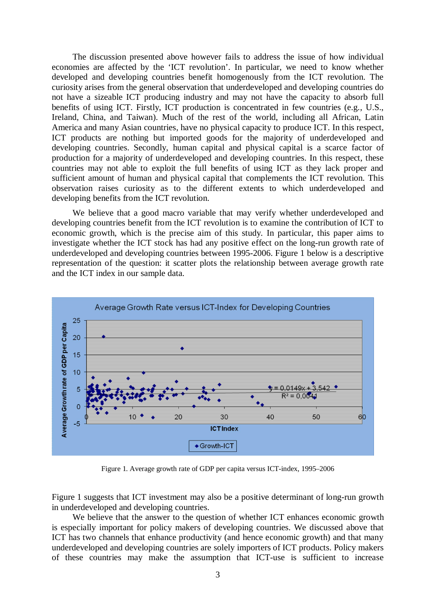The discussion presented above however fails to address the issue of how individual economies are affected by the 'ICT revolution'. In particular, we need to know whether developed and developing countries benefit homogenously from the ICT revolution. The curiosity arises from the general observation that underdeveloped and developing countries do not have a sizeable ICT producing industry and may not have the capacity to absorb full benefits of using ICT. Firstly, ICT production is concentrated in few countries (e.g., U.S., Ireland, China, and Taiwan). Much of the rest of the world, including all African, Latin America and many Asian countries, have no physical capacity to produce ICT. In this respect, ICT products are nothing but imported goods for the majority of underdeveloped and developing countries. Secondly, human capital and physical capital is a scarce factor of production for a majority of underdeveloped and developing countries. In this respect, these countries may not able to exploit the full benefits of using ICT as they lack proper and sufficient amount of human and physical capital that complements the ICT revolution. This observation raises curiosity as to the different extents to which underdeveloped and developing benefits from the ICT revolution.

We believe that a good macro variable that may verify whether underdeveloped and developing countries benefit from the ICT revolution is to examine the contribution of ICT to economic growth, which is the precise aim of this study. In particular, this paper aims to investigate whether the ICT stock has had any positive effect on the long-run growth rate of underdeveloped and developing countries between 1995-2006. Figure 1 below is a descriptive representation of the question: it scatter plots the relationship between average growth rate and the ICT index in our sample data.



Figure 1. Average growth rate of GDP per capita versus ICT-index, 1995–2006

Figure 1 suggests that ICT investment may also be a positive determinant of long-run growth in underdeveloped and developing countries.

We believe that the answer to the question of whether ICT enhances economic growth is especially important for policy makers of developing countries. We discussed above that ICT has two channels that enhance productivity (and hence economic growth) and that many underdeveloped and developing countries are solely importers of ICT products. Policy makers of these countries may make the assumption that ICT-use is sufficient to increase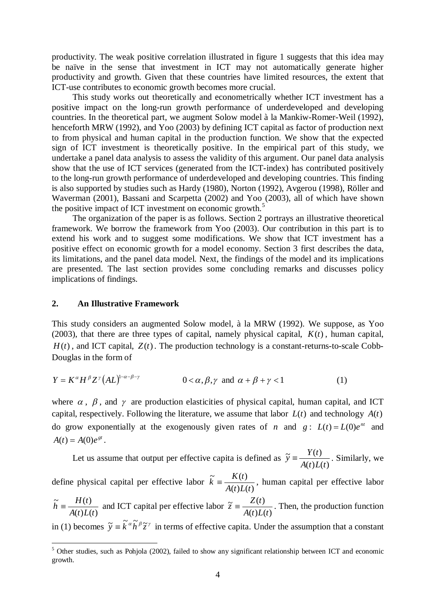productivity. The weak positive correlation illustrated in figure 1 suggests that this idea may be naïve in the sense that investment in ICT may not automatically generate higher productivity and growth. Given that these countries have limited resources, the extent that ICT-use contributes to economic growth becomes more crucial.

This study works out theoretically and econometrically whether ICT investment has a positive impact on the long-run growth performance of underdeveloped and developing countries. In the theoretical part, we augment Solow model à la Mankiw-Romer-Weil (1992), henceforth MRW (1992), and Yoo (2003) by defining ICT capital as factor of production next to from physical and human capital in the production function. We show that the expected sign of ICT investment is theoretically positive. In the empirical part of this study, we undertake a panel data analysis to assess the validity of this argument. Our panel data analysis show that the use of ICT services (generated from the ICT-index) has contributed positively to the long-run growth performance of underdeveloped and developing countries. This finding is also supported by studies such as Hardy (1980), Norton (1992), Avgerou (1998), Röller and Waverman (2001), Bassani and Scarpetta (2002) and Yoo (2003), all of which have shown the positive impact of ICT investment on economic growth.<sup>5</sup>

The organization of the paper is as follows. Section 2 portrays an illustrative theoretical framework. We borrow the framework from Yoo (2003). Our contribution in this part is to extend his work and to suggest some modifications. We show that ICT investment has a positive effect on economic growth for a model economy. Section 3 first describes the data, its limitations, and the panel data model. Next, the findings of the model and its implications are presented. The last section provides some concluding remarks and discusses policy implications of findings.

#### **2. An Illustrative Framework**

This study considers an augmented Solow model, à la MRW (1992). We suppose, as Yoo (2003), that there are three types of capital, namely physical capital,  $K(t)$ , human capital,  $H(t)$ , and ICT capital,  $Z(t)$ . The production technology is a constant-returns-to-scale Cobb-Douglas in the form of

$$
Y = K^{\alpha} H^{\beta} Z^{\gamma} (AL)^{1-\alpha-\beta-\gamma} \qquad 0 < \alpha, \beta, \gamma \text{ and } \alpha + \beta + \gamma < 1 \qquad (1)
$$

where  $\alpha$ ,  $\beta$ , and  $\gamma$  are production elasticities of physical capital, human capital, and ICT capital, respectively. Following the literature, we assume that labor  $L(t)$  and technology  $A(t)$ do grow exponentially at the exogenously given rates of *n* and  $g: L(t) = L(0)e^{nt}$  and  $A(t) = A(0)e^{gt}$ .

Let us assume that output per effective capita is defined as  $(t)L(t)$  $\widetilde{\mathbf{v}} = \frac{Y(t)}{1 - \widetilde{\mathbf{v}}(t)}$  $A(t)L(t)$  $\widetilde{y} = \frac{Y(t)}{Y(t)}$ . Similarly, we

define physical capital per effective labor  $(t)L(t)$  $\tilde{r}$   $K(t)$  $A(t)L(t)$  $\widetilde{k} = \frac{K(t)}{K(t)}$ , human capital per effective labor

 $(t) L(t)$  $\tilde{t}$   $H(t)$  $A(t)L(t)$  $\widetilde{h} = \frac{H(t)}{h(t)}$  and ICT capital per effective labor  $(t)L(t)$  $\widetilde{\tau} = \frac{Z(t)}{t}$  $A(t)L(t)$  $\tilde{z} = \frac{Z(t)}{Z(t)}$ . Then, the production function in (1) becomes  $\tilde{y} = \tilde{k}^{\alpha} \tilde{h}^{\beta} \tilde{z}^{\gamma}$  in terms of effective capita. Under the assumption that a constant

<sup>&</sup>lt;sup>5</sup> Other studies, such as Pohjola (2002), failed to show any significant relationship between ICT and economic growth.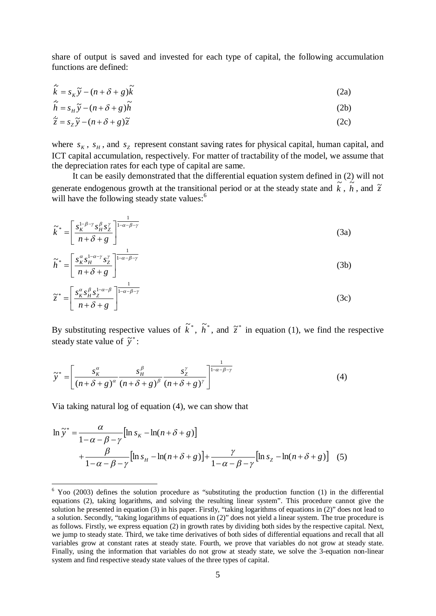share of output is saved and invested for each type of capital, the following accumulation functions are defined:

$$
\dot{\tilde{k}} = s_K \tilde{y} - (n + \delta + g)\tilde{k}
$$
 (2a)

$$
\dot{\tilde{h}} = s_H \tilde{y} - (n + \delta + g)\tilde{h}
$$
 (2b)

$$
\dot{\tilde{z}} = s_z \tilde{y} - (n + \delta + g)\tilde{z}
$$
 (2c)

where  $s_K$ ,  $s_H$ , and  $s_Z$  represent constant saving rates for physical capital, human capital, and ICT capital accumulation, respectively. For matter of tractability of the model, we assume that the depreciation rates for each type of capital are same.

It can be easily demonstrated that the differential equation system defined in (2) will not generate endogenous growth at the transitional period or at the steady state and  $\tilde{k}$ ,  $\tilde{h}$ , and  $\tilde{z}$ will have the following steady state values:<sup>6</sup>

$$
\tilde{k}^* = \left[ \frac{s_K^{1-\beta-\gamma} s_H^{\beta} s_Z^{\gamma}}{n+\delta+g} \right]^{\frac{1}{1-\alpha-\beta-\gamma}}
$$
(3a)

$$
\widetilde{h}^* = \left[ \frac{s_K^{\alpha} s_H^{1-\alpha-\gamma} s_Z^{\gamma}}{n+\delta+g} \right]^{1-\alpha-\beta-\gamma}
$$
\n(3b)

$$
\tilde{z}^* = \left[ \frac{s_K^{\alpha} s_H^{\beta} s_Z^{1-\alpha-\beta}}{n+\delta+g} \right]^{\frac{1}{1-\alpha-\beta-\gamma}}
$$
(3c)

By substituting respective values of  $\tilde{k}^*$ ,  $\tilde{h}^*$ , and  $\tilde{z}^*$  in equation (1), we find the respective steady state value of  $\tilde{y}^*$ :

$$
\widetilde{y}^* = \left[ \frac{s_K^{\alpha}}{\left(n + \delta + g\right)^{\alpha}} \frac{s_H^{\beta}}{\left(n + \delta + g\right)^{\beta}} \frac{s_Z^{\gamma}}{\left(n + \delta + g\right)^{\gamma}} \right]^{\frac{1}{1 - \alpha - \beta - \gamma}}
$$
(4)

Via taking natural log of equation (4), we can show that

$$
\ln \tilde{y}^* = \frac{\alpha}{1 - \alpha - \beta - \gamma} [\ln s_K - \ln(n + \delta + g)]
$$
  
+ 
$$
\frac{\beta}{1 - \alpha - \beta - \gamma} [\ln s_H - \ln(n + \delta + g)] + \frac{\gamma}{1 - \alpha - \beta - \gamma} [\ln s_Z - \ln(n + \delta + g)] \quad (5)
$$

<sup>&</sup>lt;sup>6</sup> Yoo (2003) defines the solution procedure as "substituting the production function (1) in the differential equations (2), taking logarithms, and solving the resulting linear system". This procedure cannot give the solution he presented in equation (3) in his paper. Firstly, "taking logarithms of equations in (2)" does not lead to a solution. Secondly, "taking logarithms of equations in (2)" does not yield a linear system. The true procedure is as follows. Firstly, we express equation (2) in growth rates by dividing both sides by the respective capital. Next, we jump to steady state. Third, we take time derivatives of both sides of differential equations and recall that all variables grow at constant rates at steady state. Fourth, we prove that variables do not grow at steady state. Finally, using the information that variables do not grow at steady state, we solve the 3-equation non-linear system and find respective steady state values of the three types of capital.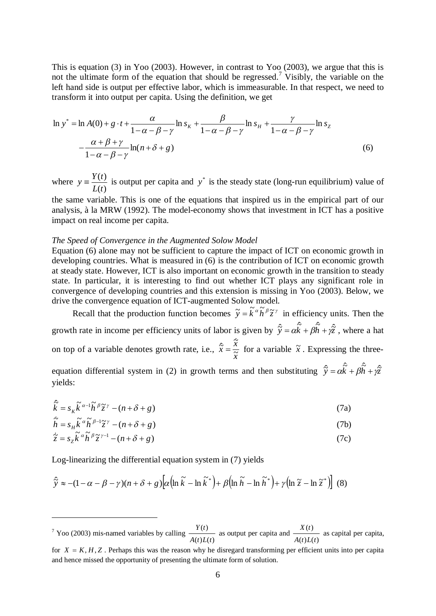This is equation (3) in Yoo (2003). However, in contrast to Yoo (2003), we argue that this is not the ultimate form of the equation that should be regressed.<sup>7</sup> Visibly, the variable on the left hand side is output per effective labor, which is immeasurable. In that respect, we need to transform it into output per capita. Using the definition, we get

$$
\ln y^* = \ln A(0) + g \cdot t + \frac{\alpha}{1 - \alpha - \beta - \gamma} \ln s_{\kappa} + \frac{\beta}{1 - \alpha - \beta - \gamma} \ln s_{\kappa} + \frac{\gamma}{1 - \alpha - \beta - \gamma} \ln s_{\kappa}
$$

$$
- \frac{\alpha + \beta + \gamma}{1 - \alpha - \beta - \gamma} \ln(n + \delta + g) \tag{6}
$$

where  $(t)$  $(t)$ *L t*  $y = \frac{Y(t)}{Y(t)}$  is output per capita and  $y^*$  is the steady state (long-run equilibrium) value of

the same variable. This is one of the equations that inspired us in the empirical part of our analysis, à la MRW (1992). The model-economy shows that investment in ICT has a positive impact on real income per capita.

#### *The Speed of Convergence in the Augmented Solow Model*

Equation (6) alone may not be sufficient to capture the impact of ICT on economic growth in developing countries. What is measured in (6) is the contribution of ICT on economic growth at steady state. However, ICT is also important on economic growth in the transition to steady state. In particular, it is interesting to find out whether ICT plays any significant role in convergence of developing countries and this extension is missing in Yoo (2003). Below, we drive the convergence equation of ICT-augmented Solow model.

Recall that the production function becomes  $\tilde{y} = \tilde{k}^{\alpha} \tilde{h}^{\beta} \tilde{z}^{\gamma}$  in efficiency units. Then the growth rate in income per efficiency units of labor is given by  $\hat{\tilde{y}} = \alpha \hat{k} + \beta \hat{h} + \gamma \hat{z}$ , where a hat on top of a variable denotes growth rate, i.e., *x*  $\hat{\widetilde{x}} = \frac{\widetilde{x}}{\widetilde{x}}$  $\hat{\tilde{r}} = \frac{\dot{\tilde{x}}}{\tilde{x}}$  $\frac{x}{x}$  for a variable  $\tilde{x}$ . Expressing the threeequation differential system in (2) in growth terms and then substituting  $\hat{\tilde{y}} = \alpha \hat{k} + \beta \hat{h} + \gamma \hat{\tilde{z}}$ yields:

$$
\hat{\vec{k}} = s_K \tilde{k}^{\alpha - 1} \tilde{h}^{\beta} \tilde{z}^{\gamma} - (n + \delta + g)
$$
\n(7a)

$$
\dot{\tilde{h}} = s_H \tilde{k}^{\alpha} \tilde{h}^{\beta - 1} \tilde{z}^{\gamma} - (n + \delta + g) \tag{7b}
$$

$$
\dot{\tilde{z}} = s_z \tilde{k}^{\alpha} \tilde{h}^{\beta} \tilde{z}^{\gamma - 1} - (n + \delta + g) \tag{7c}
$$

Log-linearizing the differential equation system in (7) yields

$$
\hat{\tilde{y}} \approx -(1 - \alpha - \beta - \gamma)(n + \delta + g)\left[\alpha \left(\ln \tilde{k} - \ln \tilde{k}^*\right) + \beta \left(\ln \tilde{h} - \ln \tilde{h}^*\right) + \gamma \left(\ln \tilde{z} - \ln \tilde{z}^*\right)\right] (8)
$$

 $7$  Yoo (2003) mis-named variables by calling  $(t)L(t)$  $(t)$  $A(t)L(t)$  $Y(t)$  as output per capita and  $(t)L(t)$  $(t)$  $A(t)L(t)$  $\frac{X(t)}{t}$  as capital per capita,

for  $X = K$ ,  $H$ ,  $Z$ . Perhaps this was the reason why he disregard transforming per efficient units into per capita and hence missed the opportunity of presenting the ultimate form of solution.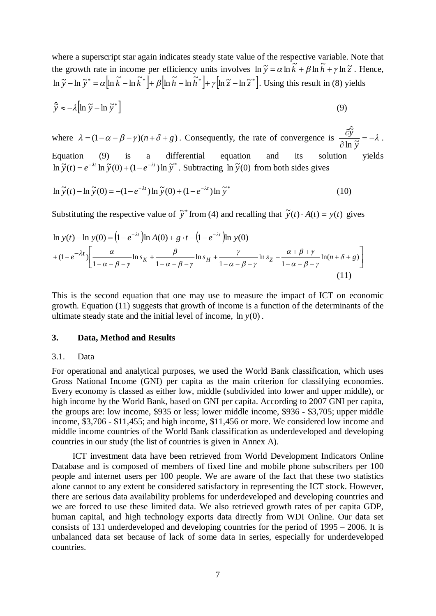where a superscript star again indicates steady state value of the respective variable. Note that the growth rate in income per efficiency units involves  $\ln \tilde{y} = \alpha \ln \tilde{k} + \beta \ln \tilde{h} + \gamma \ln \tilde{z}$ . Hence,  $\ln \widetilde{y} - \ln \widetilde{y}^* = \alpha \Big[\ln \widetilde{k} - \ln \widetilde{k}^* \Big] + \beta \Big[\ln \widetilde{h} - \ln \widetilde{h}^* \Big] + \gamma \Big[\ln \widetilde{z} - \ln \widetilde{z}^* \Big]$ . Using this result in (8) yields

$$
\hat{\tilde{y}} \approx -\lambda \left[ \ln \tilde{y} - \ln \tilde{y}^* \right]
$$
 (9)

where  $\lambda = (1 - \alpha - \beta - \gamma)(n + \delta + g)$ . Consequently, the rate of convergence is  $\frac{\partial y}{\partial \lambda} = -\lambda$  $\tilde{c}$  $\hat{c}$ *y y*  $\overline{\ln \tilde{y}}$  $\hat{\tilde{\nu}}$ . Equation (9) is a differential equation and its solution yields  $\int \sin \widetilde{y}(t) = e^{-\lambda t} \ln \widetilde{y}(0) + (1 - e^{-\lambda t}) \ln \widetilde{y}^*$ . Subtracting  $\ln \widetilde{y}(0)$  from both sides gives

$$
\ln \widetilde{y}(t) - \ln \widetilde{y}(0) = -(1 - e^{-\lambda t}) \ln \widetilde{y}(0) + (1 - e^{-\lambda t}) \ln \widetilde{y}^*
$$
\n(10)

Substituting the respective value of  $\tilde{y}^*$  from (4) and recalling that  $\tilde{y}(t) \cdot A(t) = y(t)$  gives

$$
\ln y(t) - \ln y(0) = (1 - e^{-\lambda t}) \ln A(0) + g \cdot t - (1 - e^{-\lambda t}) \ln y(0)
$$
  
+  $(1 - e^{-\lambda t}) \left[ \frac{\alpha}{1 - \alpha - \beta - \gamma} \ln s_K + \frac{\beta}{1 - \alpha - \beta - \gamma} \ln s_H + \frac{\gamma}{1 - \alpha - \beta - \gamma} \ln s_Z - \frac{\alpha + \beta + \gamma}{1 - \alpha - \beta - \gamma} \ln (n + \delta + g) \right]$  (11)

This is the second equation that one may use to measure the impact of ICT on economic growth. Equation (11) suggests that growth of income is a function of the determinants of the ultimate steady state and the initial level of income, ln *y*(0) .

#### **3. Data, Method and Results**

#### 3.1. Data

For operational and analytical purposes, we used the World Bank classification, which uses Gross National Income (GNI) per capita as the main criterion for classifying economies. Every economy is classed as either low, middle (subdivided into lower and upper middle), or high income by the World Bank, based on GNI per capita. According to 2007 GNI per capita, the groups are: low income, \$935 or less; lower middle income, \$936 - \$3,705; upper middle income, \$3,706 - \$11,455; and high income, \$11,456 or more. We considered low income and middle income countries of the World Bank classification as underdeveloped and developing countries in our study (the list of countries is given in Annex A).

ICT investment data have been retrieved from World Development Indicators Online Database and is composed of members of fixed line and mobile phone subscribers per 100 people and internet users per 100 people. We are aware of the fact that these two statistics alone cannot to any extent be considered satisfactory in representing the ICT stock. However, there are serious data availability problems for underdeveloped and developing countries and we are forced to use these limited data. We also retrieved growth rates of per capita GDP, human capital, and high technology exports data directly from WDI Online. Our data set consists of 131 underdeveloped and developing countries for the period of 1995 – 2006. It is unbalanced data set because of lack of some data in series, especially for underdeveloped countries.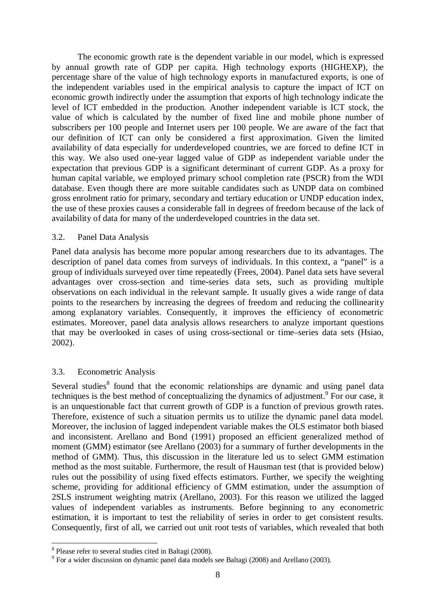The economic growth rate is the dependent variable in our model, which is expressed by annual growth rate of GDP per capita. High technology exports (HIGHEXP), the percentage share of the value of high technology exports in manufactured exports, is one of the independent variables used in the empirical analysis to capture the impact of ICT on economic growth indirectly under the assumption that exports of high technology indicate the level of ICT embedded in the production. Another independent variable is ICT stock, the value of which is calculated by the number of fixed line and mobile phone number of subscribers per 100 people and Internet users per 100 people. We are aware of the fact that our definition of ICT can only be considered a first approximation. Given the limited availability of data especially for underdeveloped countries, we are forced to define ICT in this way. We also used one-year lagged value of GDP as independent variable under the expectation that previous GDP is a significant determinant of current GDP. As a proxy for human capital variable, we employed primary school completion rate (PSCR) from the WDI database. Even though there are more suitable candidates such as UNDP data on combined gross enrolment ratio for primary, secondary and tertiary education or UNDP education index, the use of these proxies causes a considerable fall in degrees of freedom because of the lack of availability of data for many of the underdeveloped countries in the data set.

#### 3.2. Panel Data Analysis

Panel data analysis has become more popular among researchers due to its advantages. The description of panel data comes from surveys of individuals. In this context, a "panel" is a group of individuals surveyed over time repeatedly (Frees, 2004). Panel data sets have several advantages over cross-section and time-series data sets, such as providing multiple observations on each individual in the relevant sample. It usually gives a wide range of data points to the researchers by increasing the degrees of freedom and reducing the collinearity among explanatory variables. Consequently, it improves the efficiency of econometric estimates. Moreover, panel data analysis allows researchers to analyze important questions that may be overlooked in cases of using cross-sectional or time–series data sets (Hsiao, 2002).

## 3.3. Econometric Analysis

Several studies<sup>8</sup> found that the economic relationships are dynamic and using panel data techniques is the best method of conceptualizing the dynamics of adjustment.<sup>9</sup> For our case, it is an unquestionable fact that current growth of GDP is a function of previous growth rates. Therefore, existence of such a situation permits us to utilize the dynamic panel data model. Moreover, the inclusion of lagged independent variable makes the OLS estimator both biased and inconsistent. Arellano and Bond (1991) proposed an efficient generalized method of moment (GMM) estimator (see Arellano (2003) for a summary of further developments in the method of GMM). Thus, this discussion in the literature led us to select GMM estimation method as the most suitable. Furthermore, the result of Hausman test (that is provided below) rules out the possibility of using fixed effects estimators. Further, we specify the weighting scheme, providing for additional efficiency of GMM estimation, under the assumption of 2SLS instrument weighting matrix (Arellano, 2003). For this reason we utilized the lagged values of independent variables as instruments. Before beginning to any econometric estimation, it is important to test the reliability of series in order to get consistent results. Consequently, first of all, we carried out unit root tests of variables, which revealed that both

<sup>&</sup>lt;sup>8</sup> Please refer to several studies cited in Baltagi (2008).

 $9$  For a wider discussion on dynamic panel data models see Baltagi (2008) and Arellano (2003).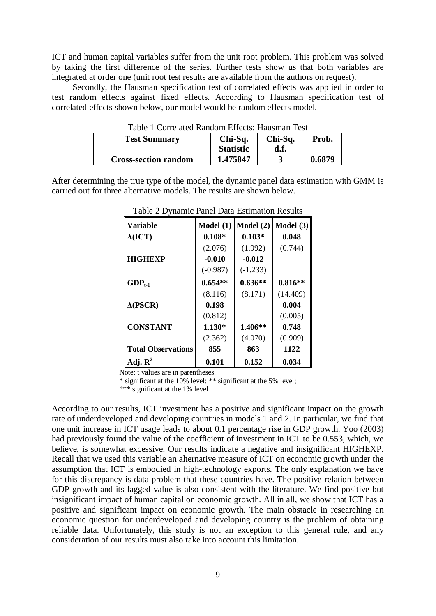ICT and human capital variables suffer from the unit root problem. This problem was solved by taking the first difference of the series. Further tests show us that both variables are integrated at order one (unit root test results are available from the authors on request).

Secondly, the Hausman specification test of correlated effects was applied in order to test random effects against fixed effects. According to Hausman specification test of correlated effects shown below, our model would be random effects model.

| Table 1 Correlated Random Effects: Hausman Test |                  |         |        |
|-------------------------------------------------|------------------|---------|--------|
| <b>Test Summary</b>                             | $Chi-Sq.$        | Chi-Sq. | Prob.  |
|                                                 | <b>Statistic</b> | d.f.    |        |
| <b>Cross-section random</b>                     | 1.475847         |         | 0.6879 |

Table 1 Correlated Random Effects: Hausman Test

After determining the true type of the model, the dynamic panel data estimation with GMM is carried out for three alternative models. The results are shown below.

| Variable                  | Model(1)   | Model (2)  | Model (3) |
|---------------------------|------------|------------|-----------|
| $\Delta (ICT)$            | $0.108*$   | $0.103*$   | 0.048     |
|                           | (2.076)    | (1.992)    | (0.744)   |
| <b>HIGHEXP</b>            | $-0.010$   | $-0.012$   |           |
|                           | $(-0.987)$ | $(-1.233)$ |           |
| $GDP_{t-1}$               | $0.654**$  | $0.636**$  | $0.816**$ |
|                           | (8.116)    | (8.171)    | (14.409)  |
| $\Delta$ (PSCR)           | 0.198      |            | 0.004     |
|                           | (0.812)    |            | (0.005)   |
| <b>CONSTANT</b>           | $1.130*$   | $1.406**$  | 0.748     |
|                           | (2.362)    | (4.070)    | (0.909)   |
| <b>Total Observations</b> | 855        | 863        | 1122      |
| Adj. $\mathbf{R}^2$       | 0.101      | 0.152      | 0.034     |

Table 2 Dynamic Panel Data Estimation Results

Note: t values are in parentheses.

\* significant at the  $10\%$  level; \*\* significant at the 5% level;

\*\*\* significant at the 1% level

According to our results, ICT investment has a positive and significant impact on the growth rate of underdeveloped and developing countries in models 1 and 2. In particular, we find that one unit increase in ICT usage leads to about 0.1 percentage rise in GDP growth. Yoo (2003) had previously found the value of the coefficient of investment in ICT to be 0.553, which, we believe, is somewhat excessive. Our results indicate a negative and insignificant HIGHEXP. Recall that we used this variable an alternative measure of ICT on economic growth under the assumption that ICT is embodied in high-technology exports. The only explanation we have for this discrepancy is data problem that these countries have. The positive relation between GDP growth and its lagged value is also consistent with the literature. We find positive but insignificant impact of human capital on economic growth. All in all, we show that ICT has a positive and significant impact on economic growth. The main obstacle in researching an economic question for underdeveloped and developing country is the problem of obtaining reliable data. Unfortunately, this study is not an exception to this general rule, and any consideration of our results must also take into account this limitation.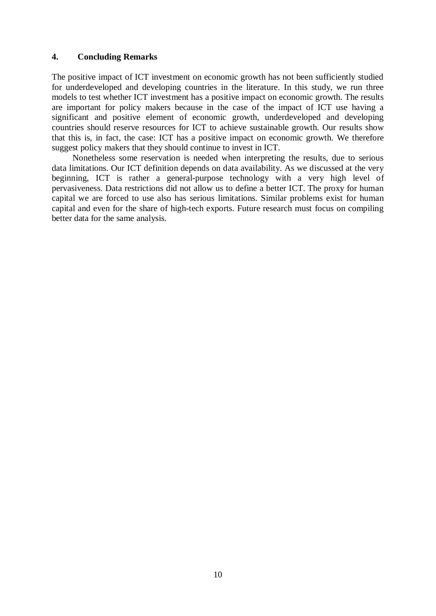## **4. Concluding Remarks**

The positive impact of ICT investment on economic growth has not been sufficiently studied for underdeveloped and developing countries in the literature. In this study, we run three models to test whether ICT investment has a positive impact on economic growth. The results are important for policy makers because in the case of the impact of ICT use having a significant and positive element of economic growth, underdeveloped and developing countries should reserve resources for ICT to achieve sustainable growth. Our results show that this is, in fact, the case: ICT has a positive impact on economic growth. We therefore suggest policy makers that they should continue to invest in ICT.

Nonetheless some reservation is needed when interpreting the results, due to serious data limitations. Our ICT definition depends on data availability. As we discussed at the very beginning, ICT is rather a general-purpose technology with a very high level of pervasiveness. Data restrictions did not allow us to define a better ICT. The proxy for human capital we are forced to use also has serious limitations. Similar problems exist for human capital and even for the share of high-tech exports. Future research must focus on compiling better data for the same analysis.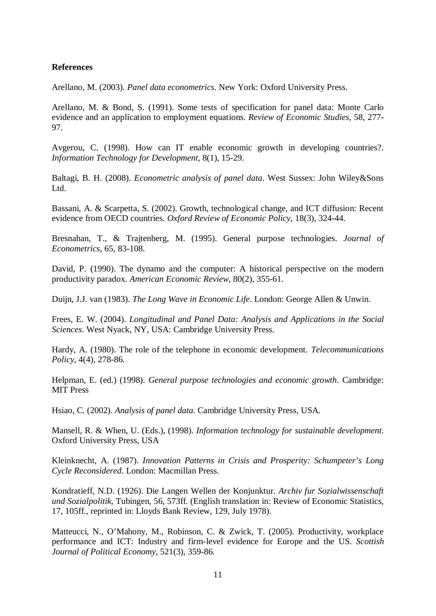#### **References**

Arellano, M. (2003). *Panel data econometrics*. New York: Oxford University Press.

Arellano, M. & Bond, S. (1991). Some tests of specification for panel data: Monte Carlo evidence and an application to employment equations. *Review of Economic Studies*, 58, 277- 97.

Avgerou, C. (1998). How can IT enable economic growth in developing countries?. *Information Technology for Development*, 8(1), 15-29.

Baltagi, B. H. (2008). *Econometric analysis of panel data*. West Sussex: John Wiley&Sons Ltd.

Bassani, A. & Scarpetta, S. (2002). Growth, technological change, and ICT diffusion: Recent evidence from OECD countries. *Oxford Review of Economic Policy*, 18(3), 324-44.

Bresnahan, T., & Trajtenberg, M. (1995). General purpose technologies. *Journal of Econometrics*, 65, 83-108.

David, P. (1990). The dynamo and the computer: A historical perspective on the modern productivity paradox. *American Economic Review*, 80(2), 355-61.

Duijn, J.J. van (1983). *The Long Wave in Economic Life*. London: George Allen & Unwin.

Frees, E. W. (2004). *Longitudinal and Panel Data: Analysis and Applications in the Social Sciences*. West Nyack, NY, USA: Cambridge University Press.

Hardy, A. (1980). The role of the telephone in economic development. *Telecommunications Policy*, 4(4), 278-86.

Helpman, E. (ed.) (1998). *General purpose technologies and economic growth*. Cambridge: MIT Press

Hsiao, C. (2002). *Analysis of panel data*. Cambridge University Press, USA.

Mansell, R. & When, U. (Eds.), (1998). *Information technology for sustainable development*. Oxford University Press, USA

Kleinknecht, A. (1987). *Innovation Patterns in Crisis and Prosperity: Schumpeter's Long Cycle Reconsidered*. London: Macmillan Press.

Kondratieff, N.D. (1926). Die Langen Wellen der Konjunktur. *Archiv fur Sozialwissenschaft und Sozialpolitik*, Tubingen, 56, 573ff. (English translation in: Review of Economic Statistics, 17, 105ff., reprinted in: Lloyds Bank Review, 129, July 1978).

Matteucci, N., O'Mahony, M., Robinson, C. & Zwick, T. (2005). Productivity, workplace performance and ICT: Industry and firm-level evidence for Europe and the US. *Scottish Journal of Political Economy*, 521(3), 359-86.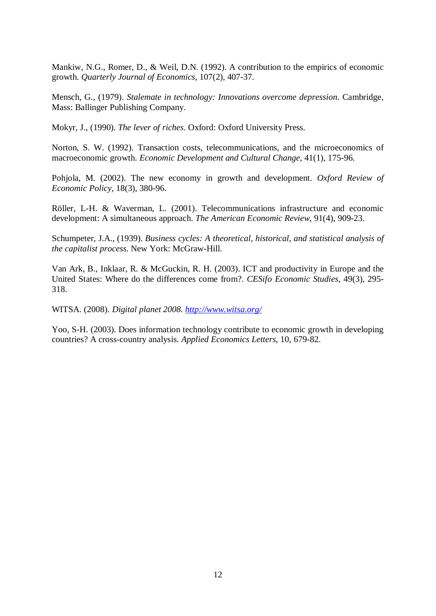Mankiw, N.G., Romer, D., & Weil, D.N. (1992). A contribution to the empirics of economic growth. *Quarterly Journal of Economics*, 107(2), 407-37.

Mensch, G., (1979). *Stalemate in technology: Innovations overcome depression*. Cambridge, Mass: Ballinger Publishing Company.

Mokyr, J., (1990). *The lever of riches*. Oxford: Oxford University Press.

Norton, S. W. (1992). Transaction costs, telecommunications, and the microeconomics of macroeconomic growth. *Economic Development and Cultural Change*, 41(1), 175-96.

Pohjola, M. (2002). The new economy in growth and development. *Oxford Review of Economic Policy*, 18(3), 380-96.

Röller, L-H. & Waverman, L. (2001). Telecommunications infrastructure and economic development: A simultaneous approach. *The American Economic Review*, 91(4), 909-23.

Schumpeter, J.A., (1939). *Business cycles: A theoretical, historical, and statistical analysis of the capitalist process*. New York: McGraw-Hill.

Van Ark, B., Inklaar, R. & McGuckin, R. H. (2003). ICT and productivity in Europe and the United States: Where do the differences come from?. *CESifo Economic Studies*, 49(3), 295- 318.

WITSA. (2008). *Digital planet 2008. <http://www.witsa.org/>*

Yoo, S-H. (2003). Does information technology contribute to economic growth in developing countries? A cross-country analysis. *Applied Economics Letters*, 10, 679-82.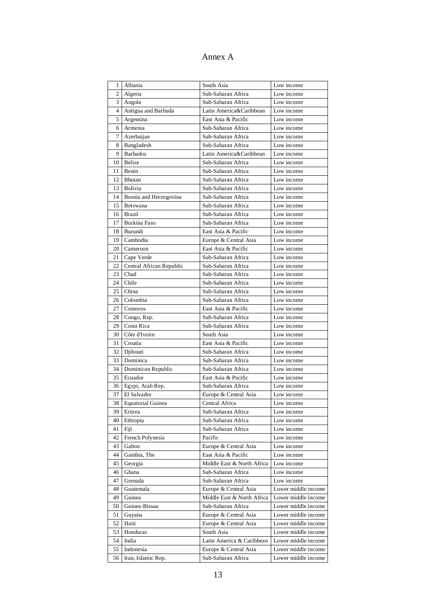# Annex A

| 1              | Albania                  | South Asia                 | Low income          |
|----------------|--------------------------|----------------------------|---------------------|
| $\overline{c}$ | Algeria                  | Sub-Saharan Africa         | Low income          |
| 3              | Angola                   | Sub-Saharan Africa         | Low income          |
| $\overline{4}$ | Antigua and Barbuda      | Latin America&Caribbean    | Low income          |
| 5              | Argentina                | East Asia & Pacific        | Low income          |
| 6              | Armenia                  | Sub-Saharan Africa         | Low income          |
| 7              | Azerbaijan               | Sub-Saharan Africa         | Low income          |
| 8              | Bangladesh               | Sub-Saharan Africa         | Low income          |
| 9              | <b>Barbados</b>          | Latin America&Caribbean    | Low income          |
| 10             | Belize                   | Sub-Saharan Africa         | Low income          |
| 11             | Benin                    | Sub-Saharan Africa         | Low income          |
| 12             | Bhutan                   | Sub-Saharan Africa         | Low income          |
| 13             | <b>Bolivia</b>           | Sub-Saharan Africa         | Low income          |
| 14             | Bosnia and Herzegovina   | Sub-Saharan Africa         | Low income          |
| 15             | Botswana                 | Sub-Saharan Africa         | Low income          |
| 16             | <b>Brazil</b>            | Sub-Saharan Africa         | Low income          |
| 17             | <b>Burkina Faso</b>      | Sub-Saharan Africa         | Low income          |
| 18             | Burundi                  | East Asia & Pacific        | Low income          |
| 19             | Cambodia                 | Europe & Central Asia      | Low income          |
| 20             | Cameroon                 | East Asia & Pacific        | Low income          |
| 21             | Cape Verde               | Sub-Saharan Africa         | Low income          |
| 22             | Central African Republic | Sub-Saharan Africa         | Low income          |
| 23             | Chad                     | Sub-Saharan Africa         | Low income          |
| 24             | Chile                    | Sub-Saharan Africa         | Low income          |
| 25             | China                    | Sub-Saharan Africa         | Low income          |
| 26             | Colombia                 | Sub-Saharan Africa         | Low income          |
| 27             | Comoros                  | East Asia & Pacific        | Low income          |
| 28             | Congo, Rep.              | Sub-Saharan Africa         | Low income          |
| 29             | Costa Rica               | Sub-Saharan Africa         | Low income          |
| 30             | Côte d'Ivoire            | South Asia                 | Low income          |
| 31             | Croatia                  | East Asia & Pacific        | Low income          |
| 32             | Djibouti                 | Sub-Saharan Africa         | Low income          |
| 33             | Dominica                 | Sub-Saharan Africa         | Low income          |
| 34             | Dominican Republic       | Sub-Saharan Africa         | Low income          |
| 35             | Ecuador                  | East Asia & Pacific        | Low income          |
| 36             | Egypt, Arab Rep.         | Sub-Saharan Africa         | Low income          |
| 37             | El Salvador              | Europe & Central Asia      | Low income          |
| 38             | <b>Equatorial Guinea</b> | Central Africa             | Low income          |
| 39             | Eritrea                  | Sub-Saharan Africa         | Low income          |
| 40             | Ethiopia                 | Sub-Saharan Africa         | Low income          |
| 41             | Fiji                     | Sub-Saharan Africa         | Low income          |
| 42             | French Polynesia         | Pacific                    | Low income          |
| 43             | Gabon                    | Europe & Central Asia      | Low income          |
| 44             | Gambia, The              | East Asia & Pacific        | Low income          |
| 45             | Georgia                  | Middle East & North Africa | Low income          |
| 46             | Ghana                    | Sub-Saharan Africa         | Low income          |
| 47             | Grenada                  | Sub-Saharan Africa         | Low income          |
| 48             | Guatemala                | Europe & Central Asia      | Lower middle income |
| 49             | Guinea                   | Middle East & North Africa | Lower middle income |
| 50             | Guinea-Bissau            | Sub-Saharan Africa         | Lower middle income |
| 51             | Guyana                   | Europe & Central Asia      | Lower middle income |
| 52             | Haiti                    | Europe & Central Asia      | Lower middle income |
| 53             | Honduras                 | South Asia                 | Lower middle income |
| 54             | India                    | Latin America & Caribbean  | Lower middle income |
| 55             | Indonesia                | Europe & Central Asia      | Lower middle income |
| 56             | Iran, Islamic Rep.       | Sub-Saharan Africa         | Lower middle income |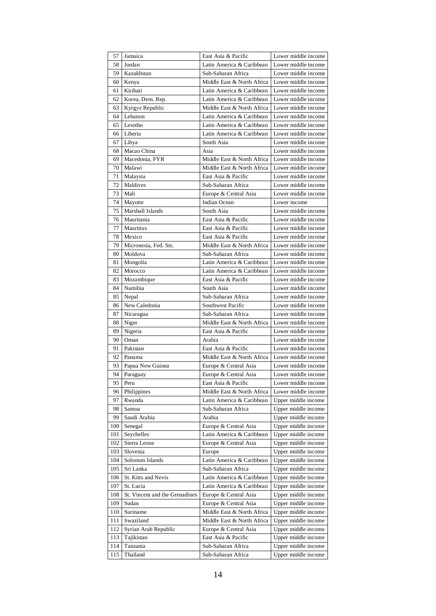| 57  | Jamaica                        | East Asia & Pacific        | Lower middle income |
|-----|--------------------------------|----------------------------|---------------------|
| 58  | Jordan                         | Latin America & Caribbean  | Lower middle income |
| 59  | Kazakhstan                     | Sub-Saharan Africa         | Lower middle income |
| 60  | Kenya                          | Middle East & North Africa | Lower middle income |
| 61  | Kiribati                       | Latin America & Caribbean  | Lower middle income |
| 62  | Korea, Dem. Rep.               | Latin America & Caribbean  | Lower middle income |
| 63  | Kyrgyz Republic                | Middle East & North Africa | Lower middle income |
| 64  | Lebanon                        | Latin America & Caribbean  | Lower middle income |
| 65  | Lesotho                        | Latin America & Caribbean  | Lower middle income |
| 66  | Liberia                        | Latin America & Caribbean  | Lower middle income |
| 67  | Libya                          | South Asia                 | Lower middle income |
| 68  | Macao China                    | Asia                       | Lower middle income |
| 69  | Macedonia, FYR                 | Middle East & North Africa | Lower middle income |
| 70  | Malawi                         | Middle East & North Africa | Lower middle income |
| 71  | Malaysia                       | East Asia & Pacific        | Lower middle income |
| 72  | Maldives                       | Sub-Saharan Africa         | Lower middle income |
| 73  | Mali                           | Europe & Central Asia      | Lower middle income |
| 74  | Mayotte                        | Indian Ocean               | Lower income        |
| 75  | Marshall Islands               | South Asia                 | Lower middle income |
| 76  | Mauritania                     | East Asia & Pacific        | Lower middle income |
| 77  | <b>Mauritius</b>               | East Asia & Pacific        | Lower middle income |
| 78  | Mexico                         | East Asia & Pacific        | Lower middle income |
| 79  | Micronesia, Fed. Sts.          | Middle East & North Africa | Lower middle income |
| 80  | Moldova                        | Sub-Saharan Africa         | Lower middle income |
| 81  | Mongolia                       | Latin America & Caribbean  | Lower middle income |
| 82  | Morocco                        | Latin America & Caribbean  | Lower middle income |
| 83  | Mozambique                     | East Asia & Pacific        | Lower middle income |
| 84  | Namibia                        | South Asia                 | Lower middle income |
| 85  | Nepal                          | Sub-Saharan Africa         | Lower middle income |
| 86  | New Caledonia                  | Southwest Pacific          | Lower middle income |
| 87  | Nicaragua                      | Sub-Saharan Africa         | Lower middle income |
| 88  | Niger                          | Middle East & North Africa | Lower middle income |
| 89  | Nigeria                        | East Asia & Pacific        | Lower middle income |
| 90  | Oman                           | Arabia                     | Lower middle income |
| 91  | Pakistan                       | East Asia & Pacific        | Lower middle income |
| 92  | Panama                         | Middle East & North Africa | Lower middle income |
| 93  | Papua New Guinea               | Europe & Central Asia      | Lower middle income |
| 94  | Paraguay                       | Europe & Central Asia      | Lower middle income |
| 95  | Peru                           | East Asia & Pacific        | Lower middle income |
| 96  | Philippines                    | Middle East & North Africa | Lower middle income |
| 97  | Rwanda                         | Latin America & Caribbean  | Upper middle income |
| 98  | Samoa                          | Sub-Saharan Africa         | Upper middle income |
| 99  | Saudi Arabia                   | Arabia                     | Upper middle income |
| 100 | Senegal                        | Europe & Central Asia      | Upper middle income |
| 101 | Seychelles                     | Latin America & Caribbean  | Upper middle income |
| 102 | Sierra Leone                   | Europe & Central Asia      | Upper middle income |
| 103 | Slovenia                       | Europe                     | Upper middle income |
| 104 | Solomon Islands                | Latin America & Caribbean  | Upper middle income |
| 105 | Sri Lanka                      | Sub-Saharan Africa         | Upper middle income |
| 106 | St. Kitts and Nevis            | Latin America & Caribbean  | Upper middle income |
| 107 | St. Lucia                      | Latin America & Caribbean  | Upper middle income |
| 108 | St. Vincent and the Grenadines | Europe & Central Asia      | Upper middle income |
| 109 | Sudan                          | Europe & Central Asia      | Upper middle income |
| 110 | Suriname                       | Middle East & North Africa | Upper middle income |
| 111 | Swaziland                      | Middle East & North Africa | Upper middle income |
| 112 | Syrian Arab Republic           | Europe & Central Asia      | Upper middle income |
| 113 | Tajikistan                     | East Asia & Pacific        | Upper middle income |
| 114 | Tanzania                       | Sub-Saharan Africa         | Upper middle income |
| 115 | Thailand                       | Sub-Saharan Africa         | Upper middle income |
|     |                                |                            |                     |